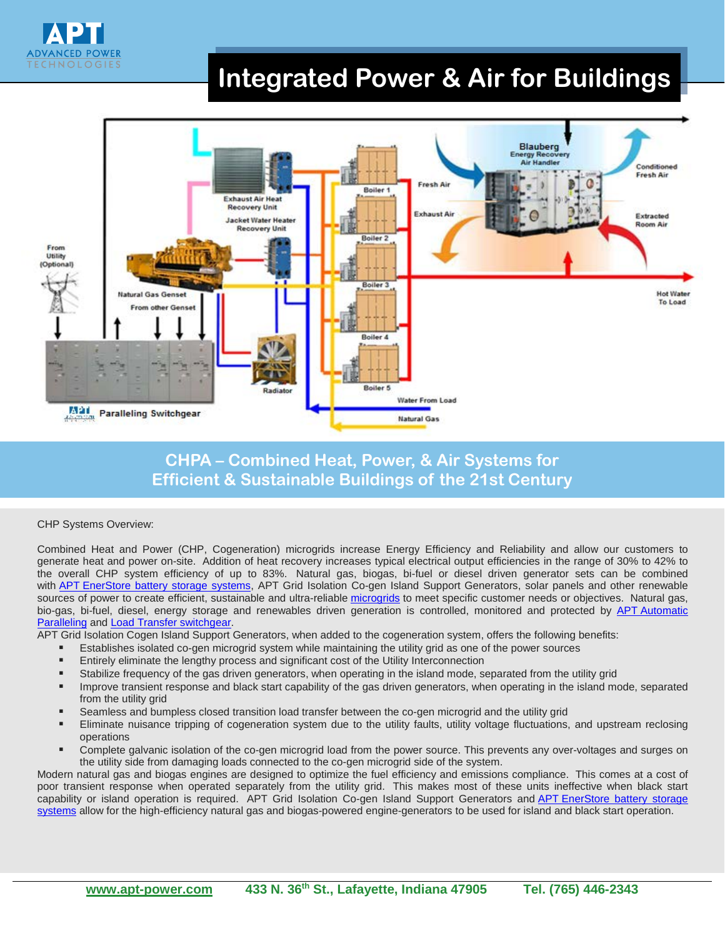

# **Integrated Power & Air for Buildings**



## **CHPA – Combined Heat, Power, & Air Systems for Efficient & Sustainable Buildings of the 21st Century**

#### CHP Systems Overview:

Combined Heat and Power (CHP, Cogeneration) microgrids increase Energy Efficiency and Reliability and allow our customers to generate heat and power on-site. Addition of heat recovery increases typical electrical output efficiencies in the range of 30% to 42% to the overall CHP system efficiency of up to 83%. Natural gas, biogas, bi-fuel or diesel driven generator sets can be combined with **APT EnerStore battery storage systems**, APT Grid Isolation Co-gen Island Support Generators, solar panels and other renewable sources of power to create efficient, sustainable and ultra-reliable [microgrids](http://www.apt-power.com/products/engineered-power-systems/microgrids-sustainable-energy-systems/) to meet specific customer needs or objectives. Natural gas, bio-gas, bi-fuel, diesel, energy storage and renewables driven generation is controlled, monitored and protected by APT Automatic [Paralleling](http://www.apt-power.com/products/custom-engineered-switchgear-automatic-paralleling-transfer-peak-shaving-microgrid-controllers/) and [Load Transfer switchgear.](http://www.apt-power.com/products/load-transfer-switchgear/)

APT Grid Isolation Cogen Island Support Generators, when added to the cogeneration system, offers the following benefits:

- Establishes isolated co-gen microgrid system while maintaining the utility grid as one of the power sources
- Entirely eliminate the lengthy process and significant cost of the Utility Interconnection
- Stabilize frequency of the gas driven generators, when operating in the island mode, separated from the utility grid
- Improve transient response and black start capability of the gas driven generators, when operating in the island mode, separated from the utility grid
- Seamless and bumpless closed transition load transfer between the co-gen microgrid and the utility grid
- Eliminate nuisance tripping of cogeneration system due to the utility faults, utility voltage fluctuations, and upstream reclosing operations
- Complete galvanic isolation of the co-gen microgrid load from the power source. This prevents any over-voltages and surges on the utility side from damaging loads connected to the co-gen microgrid side of the system.

Modern natural gas and biogas engines are designed to optimize the fuel efficiency and emissions compliance. This comes at a cost of poor transient response when operated separately from the utility grid. This makes most of these units ineffective when black start capability or island operation is required. APT Grid Isolation Co-gen Island Support Generators and APT EnerStore battery storage [systems](http://www.apt-power.com/products/engineered-power-systems/enerstore-battery-energy-storage-system-bess/) allow for the high-efficiency natural gas and biogas-powered engine-generators to be used for island and black start operation.